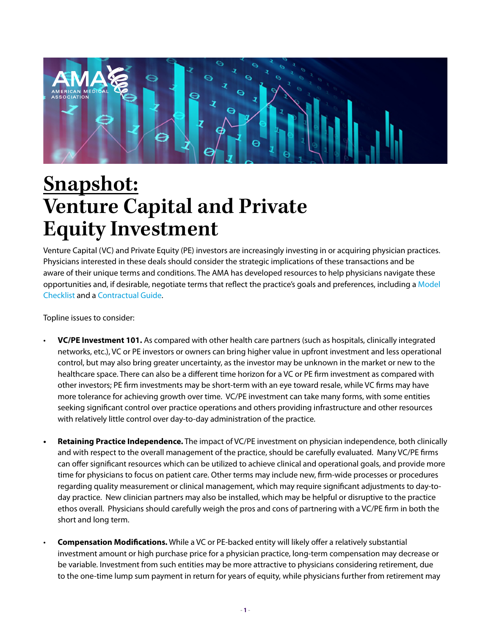

## **Snapshot: Venture Capital and Private Equity Investment**

Venture Capital (VC) and Private Equity (PE) investors are increasingly investing in or acquiring physician practices. Physicians interested in these deals should consider the strategic implications of these transactions and be aware of their unique terms and conditions. The AMA has developed resources to help physicians navigate these opportunities and, if desirable, negotiate terms that reflect the practice's goals and preferences, including a [Model](http://www.ama-assn.org/system/files/2019-07/investment-model-checklist.pdf)  [Checklist](http://www.ama-assn.org/system/files/2019-07/investment-model-checklist.pdf) and a [Contractual Guide](http://www.ama-assn.org/system/files/2019-07/evaluate-contractual-arrangements.pdf).

Topline issues to consider:

- **VC/PE Investment 101.** As compared with other health care partners (such as hospitals, clinically integrated networks, etc.), VC or PE investors or owners can bring higher value in upfront investment and less operational control, but may also bring greater uncertainty, as the investor may be unknown in the market or new to the healthcare space. There can also be a different time horizon for a VC or PE firm investment as compared with other investors; PE firm investments may be short-term with an eye toward resale, while VC firms may have more tolerance for achieving growth over time. VC/PE investment can take many forms, with some entities seeking significant control over practice operations and others providing infrastructure and other resources with relatively little control over day-to-day administration of the practice.
- **• Retaining Practice Independence.** The impact of VC/PE investment on physician independence, both clinically and with respect to the overall management of the practice, should be carefully evaluated. Many VC/PE firms can offer significant resources which can be utilized to achieve clinical and operational goals, and provide more time for physicians to focus on patient care. Other terms may include new, firm-wide processes or procedures regarding quality measurement or clinical management, which may require significant adjustments to day-today practice. New clinician partners may also be installed, which may be helpful or disruptive to the practice ethos overall. Physicians should carefully weigh the pros and cons of partnering with a VC/PE firm in both the short and long term.
- **Compensation Modifications.** While a VC or PE-backed entity will likely offer a relatively substantial investment amount or high purchase price for a physician practice, long-term compensation may decrease or be variable. Investment from such entities may be more attractive to physicians considering retirement, due to the one-time lump sum payment in return for years of equity, while physicians further from retirement may